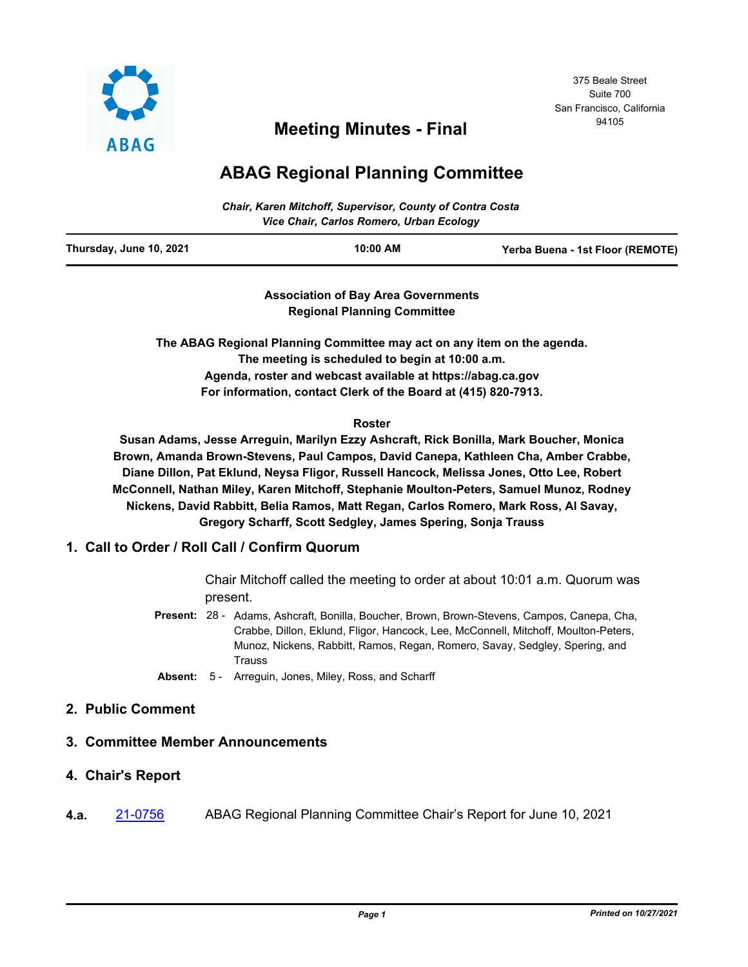

# <sup>94105</sup> **Meeting Minutes - Final**

## **ABAG Regional Planning Committee**

| <b>Chair, Karen Mitchoff, Supervisor, County of Contra Costa</b><br>Vice Chair, Carlos Romero, Urban Ecology |          |                                  |
|--------------------------------------------------------------------------------------------------------------|----------|----------------------------------|
| Thursday, June 10, 2021                                                                                      | 10:00 AM | Yerba Buena - 1st Floor (REMOTE) |

**Association of Bay Area Governments Regional Planning Committee**

**The ABAG Regional Planning Committee may act on any item on the agenda. The meeting is scheduled to begin at 10:00 a.m. Agenda, roster and webcast available at https://abag.ca.gov For information, contact Clerk of the Board at (415) 820-7913.**

#### **Roster**

**Susan Adams, Jesse Arreguin, Marilyn Ezzy Ashcraft, Rick Bonilla, Mark Boucher, Monica Brown, Amanda Brown-Stevens, Paul Campos, David Canepa, Kathleen Cha, Amber Crabbe, Diane Dillon, Pat Eklund, Neysa Fligor, Russell Hancock, Melissa Jones, Otto Lee, Robert McConnell, Nathan Miley, Karen Mitchoff, Stephanie Moulton-Peters, Samuel Munoz, Rodney Nickens, David Rabbitt, Belia Ramos, Matt Regan, Carlos Romero, Mark Ross, Al Savay, Gregory Scharff, Scott Sedgley, James Spering, Sonja Trauss**

## **1. Call to Order / Roll Call / Confirm Quorum**

Chair Mitchoff called the meeting to order at about 10:01 a.m. Quorum was present.

- Present: 28 Adams, Ashcraft, Bonilla, Boucher, Brown, Brown-Stevens, Campos, Canepa, Cha, Crabbe, Dillon, Eklund, Fligor, Hancock, Lee, McConnell, Mitchoff, Moulton-Peters, Munoz, Nickens, Rabbitt, Ramos, Regan, Romero, Savay, Sedgley, Spering, and Trauss
- **Absent:** 5 Arreguin, Jones, Miley, Ross, and Scharff

## **2. Public Comment**

## **3. Committee Member Announcements**

- **4. Chair's Report**
- **4.a.** [21-0756](http://mtc.legistar.com/gateway.aspx?m=l&id=/matter.aspx?key=22349) ABAG Regional Planning Committee Chair's Report for June 10, 2021